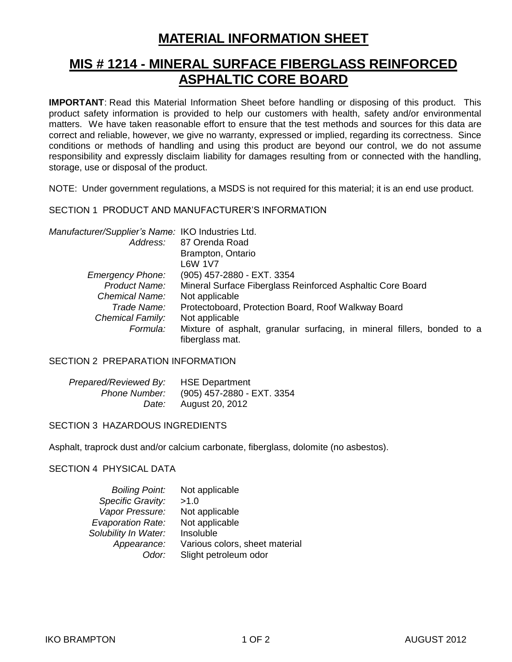# **MATERIAL INFORMATION SHEET**

## **MIS # 1214 - MINERAL SURFACE FIBERGLASS REINFORCED ASPHALTIC CORE BOARD**

**IMPORTANT**: Read this Material Information Sheet before handling or disposing of this product. This product safety information is provided to help our customers with health, safety and/or environmental matters. We have taken reasonable effort to ensure that the test methods and sources for this data are correct and reliable, however, we give no warranty, expressed or implied, regarding its correctness. Since conditions or methods of handling and using this product are beyond our control, we do not assume responsibility and expressly disclaim liability for damages resulting from or connected with the handling, storage, use or disposal of the product.

NOTE: Under government regulations, a MSDS is not required for this material; it is an end use product.

### SECTION 1 PRODUCT AND MANUFACTURER'S INFORMATION

| Manufacturer/Supplier's Name: IKO Industries Ltd. |                                                                                            |  |  |
|---------------------------------------------------|--------------------------------------------------------------------------------------------|--|--|
|                                                   | Address: 87 Orenda Road                                                                    |  |  |
|                                                   | Brampton, Ontario                                                                          |  |  |
|                                                   | L6W 1V7                                                                                    |  |  |
| <b>Emergency Phone:</b>                           | (905) 457-2880 - EXT. 3354                                                                 |  |  |
| <b>Product Name:</b>                              | Mineral Surface Fiberglass Reinforced Asphaltic Core Board                                 |  |  |
| Chemical Name:                                    | Not applicable                                                                             |  |  |
| Trade Name:                                       | Protectoboard, Protection Board, Roof Walkway Board                                        |  |  |
| <b>Chemical Family:</b>                           | Not applicable                                                                             |  |  |
| Formula:                                          | Mixture of asphalt, granular surfacing, in mineral fillers, bonded to a<br>fiberglass mat. |  |  |

### SECTION 2 PREPARATION INFORMATION

| Prepared/Reviewed By: HSE Department |                                          |
|--------------------------------------|------------------------------------------|
|                                      | Phone Number: (905) 457-2880 - EXT. 3354 |
|                                      | Date: August 20, 2012                    |

### SECTION 3 HAZARDOUS INGREDIENTS

Asphalt, traprock dust and/or calcium carbonate, fiberglass, dolomite (no asbestos).

### SECTION 4 PHYSICAL DATA

| <b>Boiling Point:</b>    | Not applicable                 |
|--------------------------|--------------------------------|
| Specific Gravity:        | >1.0                           |
| Vapor Pressure:          | Not applicable                 |
| <b>Evaporation Rate:</b> | Not applicable                 |
| Solubility In Water:     | Insoluble                      |
| Appearance:              | Various colors, sheet material |
| Odor:                    | Slight petroleum odor          |